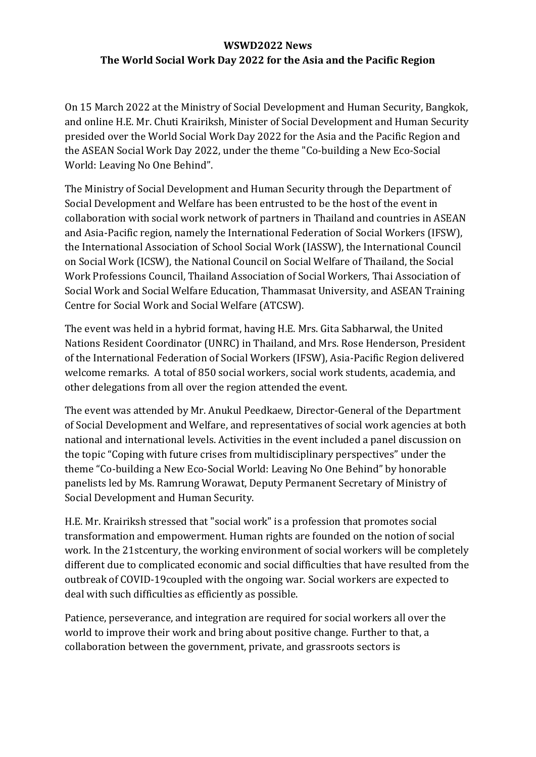## **WSWD2022 News The World Social Work Day 2022 for the Asia and the Pacific Region**

On 15 March 2022 at the Ministry of Social Development and Human Security, Bangkok, and online H.E. Mr. Chuti Krairiksh, Minister of Social Development and Human Security presided over the World Social Work Day 2022 for the Asia and the Pacific Region and the ASEAN Social Work Day 2022, under the theme "Co-building a New Eco-Social World: Leaving No One Behind".

The Ministry of Social Development and Human Security through the Department of Social Development and Welfare has been entrusted to be the host of the event in collaboration with social work network of partners in Thailand and countries in ASEAN and Asia-Pacific region, namely the International Federation of Social Workers (IFSW), the International Association of School Social Work (IASSW), the International Council on Social Work (ICSW), the National Council on Social Welfare of Thailand, the Social Work Professions Council, Thailand Association of Social Workers, Thai Association of Social Work and Social Welfare Education, Thammasat University, and ASEAN Training Centre for Social Work and Social Welfare (ATCSW).

The event was held in a hybrid format, having H.E. Mrs. Gita Sabharwal, the United Nations Resident Coordinator (UNRC) in Thailand, and Mrs. Rose Henderson, President of the International Federation of Social Workers (IFSW), Asia-Pacific Region delivered welcome remarks. A total of 850 social workers, social work students, academia, and other delegations from all over the region attended the event.

The event was attended by Mr. Anukul Peedkaew, Director-General of the Department of Social Development and Welfare, and representatives of social work agencies at both national and international levels. Activities in the event included a panel discussion on the topic "Coping with future crises from multidisciplinary perspectives" under the theme "Co-building a New Eco-Social World: Leaving No One Behind" by honorable panelists led by Ms. Ramrung Worawat, Deputy Permanent Secretary of Ministry of Social Development and Human Security.

H.E. Mr. Krairiksh stressed that "social work" is a profession that promotes social transformation and empowerment. Human rights are founded on the notion of social work. In the 21stcentury, the working environment of social workers will be completely different due to complicated economic and social difficulties that have resulted from the outbreak of COVID-19coupled with the ongoing war. Social workers are expected to deal with such difficulties as efficiently as possible.

Patience, perseverance, and integration are required for social workers all over the world to improve their work and bring about positive change. Further to that, a collaboration between the government, private, and grassroots sectors is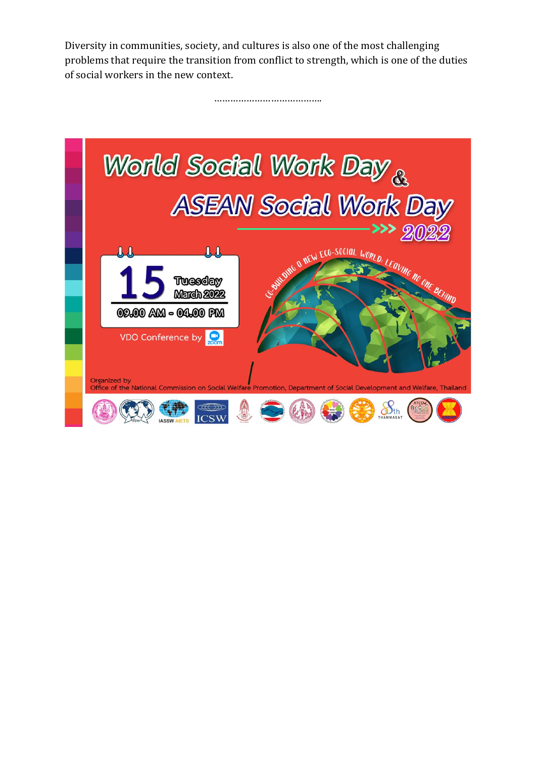Diversity in communities, society, and cultures is also one of the most challenging problems that require the transition from conflict to strength, which is one of the duties of social workers in the new context.

……………………………………………

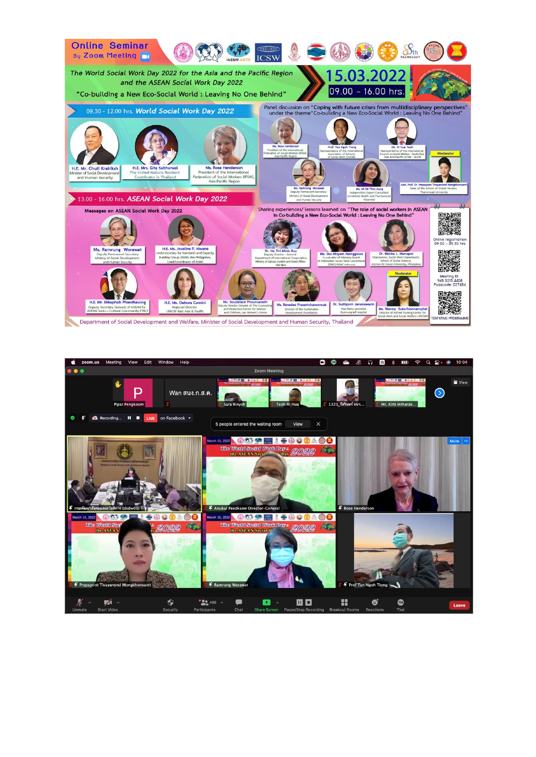